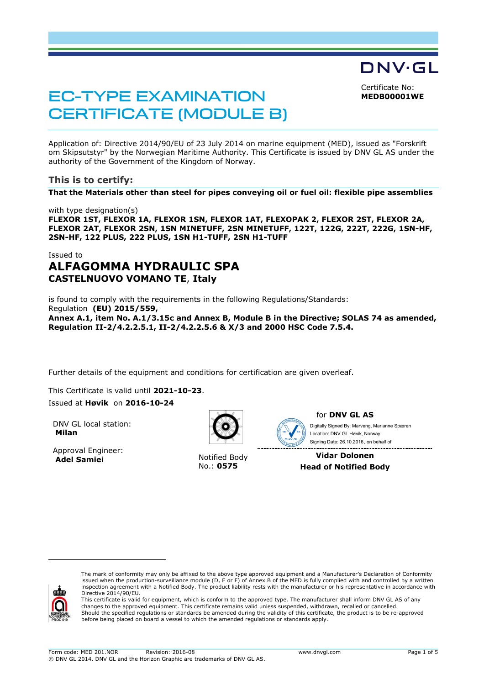DNV·GL

Certificate No: **MEDB00001WE**

# EC-TYPE EXAMINATION CERTIFICATE (MODULE B)

Application of: Directive 2014/90/EU of 23 July 2014 on marine equipment (MED), issued as "Forskrift om Skipsutstyr" by the Norwegian Maritime Authority. This Certificate is issued by DNV GL AS under the authority of the Government of the Kingdom of Norway.

## **This is to certify:**

**That the Materials other than steel for pipes conveying oil or fuel oil: flexible pipe assemblies**

with type designation(s) **FLEXOR 1ST, FLEXOR 1A, FLEXOR 1SN, FLEXOR 1AT, FLEXOPAK 2, FLEXOR 2ST, FLEXOR 2A, FLEXOR 2AT, FLEXOR 2SN, 1SN MINETUFF, 2SN MINETUFF, 122T, 122G, 222T, 222G, 1SN-HF, 2SN-HF, 122 PLUS, 222 PLUS, 1SN H1-TUFF, 2SN H1-TUFF**

## Issued to **ALFAGOMMA HYDRAULIC SPA CASTELNUOVO VOMANO TE**, **Italy**

is found to comply with the requirements in the following Regulations/Standards: Regulation **(EU) 2015/559, Annex A.1, item No. A.1/3.15c and Annex B, Module B in the Directive; SOLAS 74 as amended, Regulation II-2/4.2.2.5.1, II-2/4.2.2.5.6 & X/3 and 2000 HSC Code 7.5.4.** 

Further details of the equipment and conditions for certification are given overleaf.

This Certificate is valid until **2021-10-23**. Issued at **Høvik** on **2016-10-24**

DNV GL local station: **Milan**

Approval Engineer: **Adel Samiei** Notified Body



No.: **0575**



for **DNV GL AS**

 Signing Date: 26.10.2016 , on behalf ofDigitally Signed By: Marveng, Marianne Spæren Location: DNV GL Høvik, Norway

**Vidar Dolonen Head of Notified Body** 



ł

This certificate is valid for equipment, which is conform to the approved type. The manufacturer shall inform DNV GL AS of any changes to the approved equipment. This certificate remains valid unless suspended, withdrawn, recalled or cancelled. Should the specified regulations or standards be amended during the validity of this certificate, the product is to be re-approved before being placed on board a vessel to which the amended regulations or standards apply.

The mark of conformity may only be affixed to the above type approved equipment and a Manufacturer's Declaration of Conformity<br>issued when the production-surveillance module (D, E or F) of Annex B of the MED is fully compl inspection agreement with a Notified Body. The product liability rests with the manufacturer or his representative in accordance with Directive 2014/90/EU.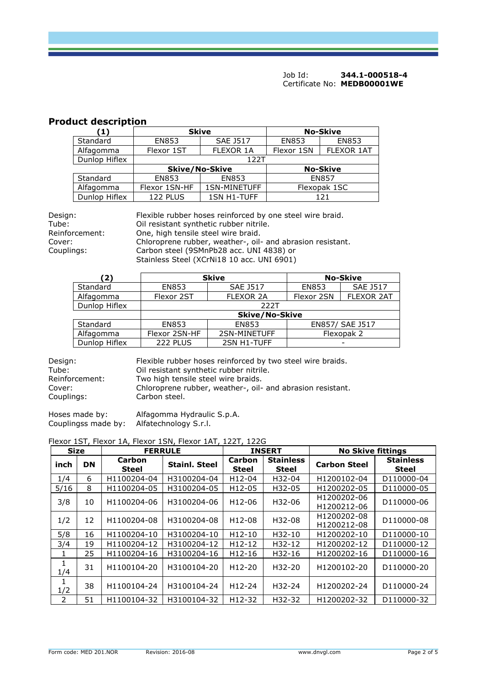# **Product description**

| (1)           | <b>Skive</b>  |                              | <b>No-Skive</b> |                   |
|---------------|---------------|------------------------------|-----------------|-------------------|
| Standard      | <b>EN853</b>  | <b>SAE J517</b>              | <b>EN853</b>    |                   |
| Alfagomma     | Flexor 1ST    | FLEXOR 1A                    | Flexor 1SN      | <b>FLEXOR 1AT</b> |
| Dunlop Hiflex | 122T          |                              |                 |                   |
|               |               | <b>Skive/No-Skive</b>        |                 | <b>No-Skive</b>   |
| Standard      | <b>EN853</b>  | <b>EN853</b><br><b>EN857</b> |                 |                   |
| Alfagomma     | Flexor 1SN-HF | 1SN-MINETUFF                 | Flexopak 1SC    |                   |
| Dunlop Hiflex | 122 PLUS      | <b>1SN H1-TUFF</b>           |                 | 121               |

| Design:        | Flexible rubber hoses reinforced by one steel wire braid.  |
|----------------|------------------------------------------------------------|
| Tube:          | Oil resistant synthetic rubber nitrile.                    |
| Reinforcement: | One, high tensile steel wire braid.                        |
| Cover:         | Chloroprene rubber, weather-, oil- and abrasion resistant. |
| Couplings:     | Carbon steel (9SMnPb28 acc. UNI 4838) or                   |
|                | Stainless Steel (XCrNi18 10 acc. UNI 6901)                 |

| (2)           |                       | <b>Skive</b>     | <b>No-Skive</b> |                   |  |
|---------------|-----------------------|------------------|-----------------|-------------------|--|
| Standard      | <b>EN853</b>          | <b>SAE J517</b>  | <b>EN853</b>    | <b>SAE 1517</b>   |  |
| Alfagomma     | Flexor 2ST            | <b>FLEXOR 2A</b> | Flexor 2SN      | <b>FLEXOR 2AT</b> |  |
| Dunlop Hiflex | 222T                  |                  |                 |                   |  |
|               | <b>Skive/No-Skive</b> |                  |                 |                   |  |
| Standard      | <b>EN853</b>          | <b>EN853</b>     | EN857/ SAE J517 |                   |  |
| Alfagomma     | Flexor 2SN-HF         | 2SN-MINETUFF     | Flexopak 2      |                   |  |
| Dunlop Hiflex | 222 PLUS              | 2SN H1-TUFF      |                 |                   |  |

| Design:        | Flexible rubber hoses reinforced by two steel wire braids. |
|----------------|------------------------------------------------------------|
| Tube:          | Oil resistant synthetic rubber nitrile.                    |
| Reinforcement: | Two high tensile steel wire braids.                        |
| Cover:         | Chloroprene rubber, weather-, oil- and abrasion resistant. |
| Couplings:     | Carbon steel.                                              |

Hoses made by: Alfagomma Hydraulic S.p.A. Couplingss made by: Alfatechnology S.r.l.

## Flexor 1ST, Flexor 1A, Flexor 1SN, Flexor 1AT, 122T, 122G

| <b>Size</b> |           |                 | <b>FERRULE</b><br><b>No Skive fittings</b><br><b>INSERT</b> |                        |                                  |                            |                                  |
|-------------|-----------|-----------------|-------------------------------------------------------------|------------------------|----------------------------------|----------------------------|----------------------------------|
| inch        | <b>DN</b> | Carbon<br>Steel | <b>Stainl. Steel</b>                                        | Carbon<br><b>Steel</b> | <b>Stainless</b><br><b>Steel</b> | <b>Carbon Steel</b>        | <b>Stainless</b><br><b>Steel</b> |
| 1/4         | 6         | H1100204-04     | H3100204-04                                                 | H12-04                 | H32-04                           | H1200102-04                | D110000-04                       |
| 5/16        | 8         | H1100204-05     | H3100204-05                                                 | H <sub>12</sub> -05    | H32-05                           | H1200202-05                | D110000-05                       |
| 3/8         | 10        | H1100204-06     | H3100204-06                                                 | H <sub>12</sub> -06    | H32-06                           | H1200202-06<br>H1200212-06 | D110000-06                       |
| 1/2         | 12        | H1100204-08     | H3100204-08                                                 | H12-08                 | H32-08                           | H1200202-08<br>H1200212-08 | D110000-08                       |
| 5/8         | 16        | H1100204-10     | H3100204-10                                                 | $H12-10$               | H32-10                           | H1200202-10                | D110000-10                       |
| 3/4         | 19        | H1100204-12     | H3100204-12                                                 | $H12-12$               | H32-12                           | H1200202-12                | D110000-12                       |
| 1           | 25        | H1100204-16     | H3100204-16                                                 | $H12-16$               | H32-16                           | H1200202-16                | D110000-16                       |
| 1<br>1/4    | 31        | H1100104-20     | H3100104-20                                                 | H <sub>12</sub> -20    | H32-20                           | H1200102-20                | D110000-20                       |
| 1<br>1/2    | 38        | H1100104-24     | H3100104-24                                                 | $H12-24$               | H32-24                           | H1200202-24                | D110000-24                       |
| 2           | 51        | H1100104-32     | H3100104-32                                                 | H12-32                 | H32-32                           | H1200202-32                | D110000-32                       |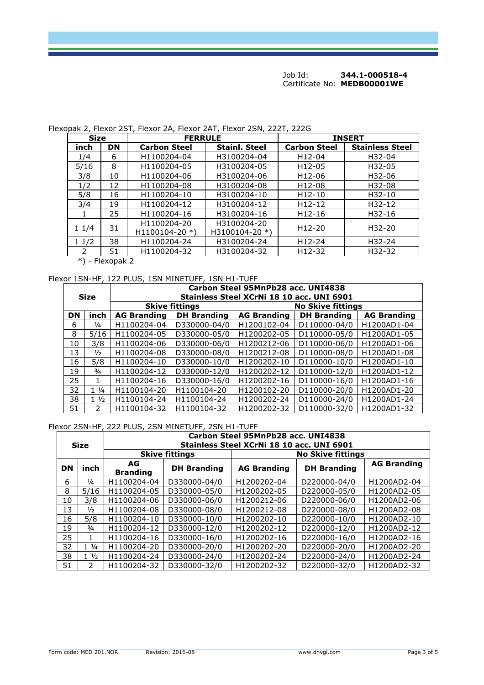**Size** FERRULE **FERRULE FERRULE INSERT inch**  $\begin{array}{|c|c|c|c|c|} \hline \text{Size} & \text{FERRULE} & \text{Stabon Steel} & \text{Stabon Steel} & \text{Stainl.} \hline \end{array}$ **inch DN** Carbon Steel Stainl. Steel Carbon Steel Stainless Steel 1/4 6 H1100204-04 H3100204-04 H12-04 H32-04 5/16 8 H1100204-05 H3100204-05 H12-05 H32-05 3/8 10 H1100204-06 H3100204-06 H12-06 H32-06 1/2 12 H1100204-08 H3100204-08 H12-08 H32-08 5/8 16 H1100204-10 H3100204-10 H12-10 H32-10 3/4 19 H1100204-12 H3100204-12 H12-12 H32-12 1 25 H1100204-16 H3100204-16 H12-16 H32-16  $11/4$  31 H1100204-20 H1100104-20 \*) H3100204-20  $\left| \begin{array}{c} \text{H3100204-20} \\ \text{H3100104-20} \end{array} \right|$  H12-20 H32-20 1 1/2 38 H1100204-24 H3100204-24 H12-24 H32-24 2 | 51 | H1100204-32 | H3100204-32 | H12-32 | H32-32

#### Flexopak 2, Flexor 2ST, Flexor 2A, Flexor 2AT, Flexor 2SN, 222T, 222G

\*) - Flexopak 2

#### Flexor 1SN-HF, 122 PLUS, 1SN MINETUFF, 1SN H1-TUFF

| <b>Size</b> |                | Carbon Steel 95MnPb28 acc. UNI4838<br>Stainless Steel XCrNi 18 10 acc. UNI 6901 |                    |                          |                    |                    |  |
|-------------|----------------|---------------------------------------------------------------------------------|--------------------|--------------------------|--------------------|--------------------|--|
|             |                | <b>Skive fittings</b>                                                           |                    | <b>No Skive fittings</b> |                    |                    |  |
| <b>DN</b>   | inch           | <b>AG Branding</b>                                                              | <b>DH Branding</b> | <b>AG Branding</b>       | <b>DH Branding</b> | <b>AG Branding</b> |  |
| 6           | $\frac{1}{4}$  | H1100204-04                                                                     | D330000-04/0       | H1200102-04              | D110000-04/0       | H1200AD1-04        |  |
| 8           | 5/16           | H1100204-05                                                                     | D330000-05/0       | H1200202-05              | D110000-05/0       | H1200AD1-05        |  |
| 10          | 3/8            | H1100204-06                                                                     | D330000-06/0       | H1200212-06              | D110000-06/0       | H1200AD1-06        |  |
| 13          | $\frac{1}{2}$  | H1100204-08                                                                     | D330000-08/0       | H1200212-08              | D110000-08/0       | H1200AD1-08        |  |
| 16          | 5/8            | H1100204-10                                                                     | D330000-10/0       | H1200202-10              | D110000-10/0       | H1200AD1-10        |  |
| 19          | $\frac{3}{4}$  | H1100204-12                                                                     | D330000-12/0       | H1200202-12              | D110000-12/0       | H1200AD1-12        |  |
| 25          |                | H1100204-16                                                                     | D330000-16/0       | H1200202-16              | D110000-16/0       | H1200AD1-16        |  |
| 32          | $1\frac{1}{4}$ | H1100104-20                                                                     | H1100104-20        | H1200102-20              | D110000-20/0       | H1200AD1-20        |  |
| 38          | $1\frac{1}{2}$ | H1100104-24                                                                     | H1100104-24        | H1200202-24              | D110000-24/0       | H1200AD1-24        |  |
| 51          | $\mathcal{P}$  | H1100104-32                                                                     | H1100104-32        | H1200202-32              | D110000-32/0       | H1200AD1-32        |  |

#### Flexor 2SN-HF, 222 PLUS, 2SN MINETUFF, 2SN H1-TUFF

| <b>Size</b>           |                 | Carbon Steel 95MnPb28 acc. UNI4838<br>Stainless Steel XCrNi 18 10 acc. UNI 6901 |                    |                          |                    |                    |  |
|-----------------------|-----------------|---------------------------------------------------------------------------------|--------------------|--------------------------|--------------------|--------------------|--|
| <b>Skive fittings</b> |                 |                                                                                 |                    | <b>No Skive fittings</b> |                    |                    |  |
| DN                    | inch            | AG.<br><b>Branding</b>                                                          | <b>DH Branding</b> | <b>AG Branding</b>       | <b>DH Branding</b> | <b>AG Branding</b> |  |
| 6                     | $\frac{1}{4}$   | H1100204-04                                                                     | D330000-04/0       | H1200202-04              | D220000-04/0       | H1200AD2-04        |  |
| 8                     | 5/16            | H1100204-05                                                                     | D330000-05/0       | H1200202-05              | D220000-05/0       | H1200AD2-05        |  |
| 10                    | 3/8             | H1100204-06                                                                     | D330000-06/0       | H1200212-06              | D220000-06/0       | H1200AD2-06        |  |
| 13                    | $\frac{1}{2}$   | H1100204-08                                                                     | D330000-08/0       | H1200212-08              | D220000-08/0       | H1200AD2-08        |  |
| 16                    | 5/8             | H1100204-10                                                                     | D330000-10/0       | H1200202-10              | D220000-10/0       | H1200AD2-10        |  |
| 19                    | $\frac{3}{4}$   | H1100204-12                                                                     | D330000-12/0       | H1200202-12              | D220000-12/0       | H1200AD2-12        |  |
| 25                    |                 | H1100204-16                                                                     | D330000-16/0       | H1200202-16              | D220000-16/0       | H1200AD2-16        |  |
| 32                    | $1 \frac{1}{4}$ | H1100204-20                                                                     | D330000-20/0       | H1200202-20              | D220000-20/0       | H1200AD2-20        |  |
| 38                    | $1\frac{1}{2}$  | H1100204-24                                                                     | D330000-24/0       | H1200202-24              | D220000-24/0       | H1200AD2-24        |  |
| 51                    | $\mathcal{P}$   | H1100204-32                                                                     | D330000-32/0       | H1200202-32              | D220000-32/0       | H1200AD2-32        |  |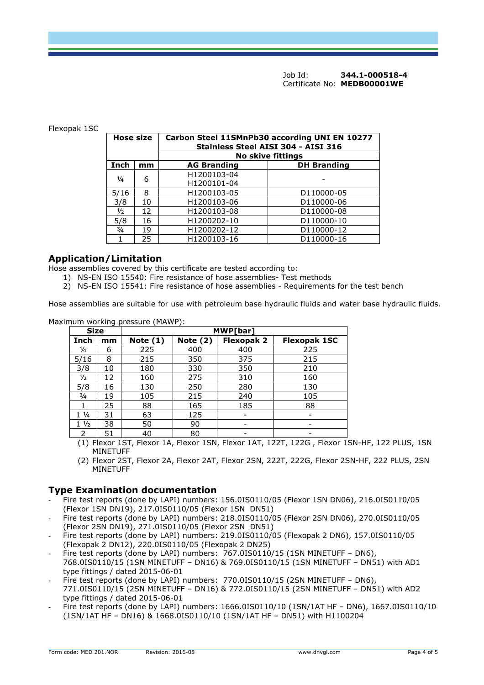#### Flexopak 1SC

| <b>Hose size</b> |                          | Carbon Steel 11SMnPb30 according UNI EN 10277<br>Stainless Steel AISI 304 - AISI 316 |                    |  |  |
|------------------|--------------------------|--------------------------------------------------------------------------------------|--------------------|--|--|
|                  | <b>No skive fittings</b> |                                                                                      |                    |  |  |
| Inch             | mm                       | <b>AG Branding</b>                                                                   | <b>DH Branding</b> |  |  |
| $\frac{1}{4}$    |                          | H1200103-04                                                                          |                    |  |  |
|                  | 6                        | H1200101-04                                                                          |                    |  |  |
| 5/16             | 8                        | H1200103-05                                                                          | D110000-05         |  |  |
| 3/8              | 10                       | H1200103-06                                                                          | D110000-06         |  |  |
| $\frac{1}{2}$    | 12                       | H1200103-08                                                                          | D110000-08         |  |  |
| 5/8              | 16                       | H1200202-10                                                                          | D110000-10         |  |  |
| $\frac{3}{4}$    | 19                       | H1200202-12                                                                          | D110000-12         |  |  |
|                  | 25                       | H1200103-16                                                                          | D110000-16         |  |  |

### **Application/Limitation**

Hose assemblies covered by this certificate are tested according to:

- 1) NS-EN ISO 15540: Fire resistance of hose assemblies- Test methods
- 2) NS-EN ISO 15541: Fire resistance of hose assemblies Requirements for the test bench

Hose assemblies are suitable for use with petroleum base hydraulic fluids and water base hydraulic fluids.

| <b>Size</b>     |    |            | MWP[bar]   |                   |                          |  |
|-----------------|----|------------|------------|-------------------|--------------------------|--|
| Inch            | mm | Note $(1)$ | Note $(2)$ | <b>Flexopak 2</b> | <b>Flexopak 1SC</b>      |  |
| 1/4             | 6  | 225        | 400        | 400               | 225                      |  |
| 5/16            | 8  | 215        | 350        | 375               | 215                      |  |
| 3/8             | 10 | 180        | 330        | 350               | 210                      |  |
| $\frac{1}{2}$   | 12 | 160        | 275        | 310               | 160                      |  |
| 5/8             | 16 | 130        | 250        | 280               | 130                      |  |
| $\frac{3}{4}$   | 19 | 105        | 215        | 240               | 105                      |  |
|                 | 25 | 88         | 165        | 185               | 88                       |  |
| $1 \frac{1}{4}$ | 31 | 63         | 125        |                   | $\overline{\phantom{0}}$ |  |
| $1\frac{1}{2}$  | 38 | 50         | 90         |                   | -                        |  |
| 2               | 51 | 40         | 80         |                   |                          |  |

Maximum working pressure (MAWP):

(1) Flexor 1ST, Flexor 1A, Flexor 1SN, Flexor 1AT, 122T, 122G , Flexor 1SN-HF, 122 PLUS, 1SN MINETUFF

(2) Flexor 2ST, Flexor 2A, Flexor 2AT, Flexor 2SN, 222T, 222G, Flexor 2SN-HF, 222 PLUS, 2SN MINETUFF

## **Type Examination documentation**

- Fire test reports (done by LAPI) numbers: 156.0IS0110/05 (Flexor 1SN DN06), 216.0IS0110/05 (Flexor 1SN DN19), 217.0IS0110/05 (Flexor 1SN DN51)
- Fire test reports (done by LAPI) numbers: 218.0IS0110/05 (Flexor 2SN DN06), 270.0IS0110/05 (Flexor 2SN DN19), 271.0IS0110/05 (Flexor 2SN DN51)
- Fire test reports (done by LAPI) numbers: 219.0IS0110/05 (Flexopak 2 DN6), 157.0IS0110/05 (Flexopak 2 DN12), 220.0IS0110/05 (Flexopak 2 DN25)
- Fire test reports (done by LAPI) numbers: 767.0IS0110/15 (1SN MINETUFF DN6), 768.0IS0110/15 (1SN MINETUFF – DN16) & 769.0IS0110/15 (1SN MINETUFF – DN51) with AD1 type fittings / dated 2015-06-01
- Fire test reports (done by LAPI) numbers: 770.0IS0110/15 (2SN MINETUFF DN6), 771.0IS0110/15 (2SN MINETUFF – DN16) & 772.0IS0110/15 (2SN MINETUFF – DN51) with AD2 type fittings / dated 2015-06-01
- Fire test reports (done by LAPI) numbers: 1666.0IS0110/10 (1SN/1AT HF DN6), 1667.0IS0110/10 (1SN/1AT HF – DN16) & 1668.0IS0110/10 (1SN/1AT HF – DN51) with H1100204